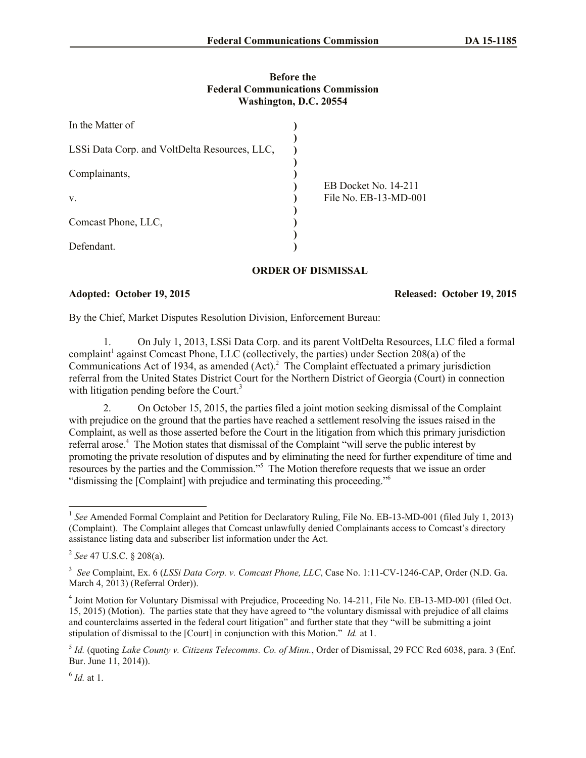## **Before the Federal Communications Commission Washington, D.C. 20554**

| In the Matter of                              |  |                                               |
|-----------------------------------------------|--|-----------------------------------------------|
| LSSi Data Corp. and VoltDelta Resources, LLC, |  |                                               |
| Complainants,                                 |  | EB Docket No. 14-211<br>File No. EB-13-MD-001 |
| V.                                            |  |                                               |
| Comcast Phone, LLC,                           |  |                                               |
| Defendant.                                    |  |                                               |

## **ORDER OF DISMISSAL**

## **Adopted: October 19, 2015 Released: October 19, 2015**

By the Chief, Market Disputes Resolution Division, Enforcement Bureau:

1. On July 1, 2013, LSSi Data Corp. and its parent VoltDelta Resources, LLC filed a formal complaint<sup>1</sup> against Comcast Phone, LLC (collectively, the parties) under Section 208(a) of the Communications Act of 1934, as amended (Act).<sup>2</sup> The Complaint effectuated a primary jurisdiction referral from the United States District Court for the Northern District of Georgia (Court) in connection with litigation pending before the Court.<sup>3</sup>

2. On October 15, 2015, the parties filed a joint motion seeking dismissal of the Complaint with prejudice on the ground that the parties have reached a settlement resolving the issues raised in the Complaint, as well as those asserted before the Court in the litigation from which this primary jurisdiction referral arose.<sup>4</sup> The Motion states that dismissal of the Complaint "will serve the public interest by promoting the private resolution of disputes and by eliminating the need for further expenditure of time and resources by the parties and the Commission."<sup>5</sup> The Motion therefore requests that we issue an order "dismissing the [Complaint] with prejudice and terminating this proceeding."<sup>6</sup>

 $\overline{a}$ 

<sup>&</sup>lt;sup>1</sup> See Amended Formal Complaint and Petition for Declaratory Ruling, File No. EB-13-MD-001 (filed July 1, 2013) (Complaint). The Complaint alleges that Comcast unlawfully denied Complainants access to Comcast's directory assistance listing data and subscriber list information under the Act.

<sup>2</sup> *See* 47 U.S.C. § 208(a).

<sup>3</sup> *See* Complaint, Ex. 6 (*LSSi Data Corp. v. Comcast Phone, LLC*, Case No. 1:11-CV-1246-CAP, Order (N.D. Ga. March 4, 2013) (Referral Order)).

<sup>&</sup>lt;sup>4</sup> Joint Motion for Voluntary Dismissal with Prejudice, Proceeding No. 14-211, File No. EB-13-MD-001 (filed Oct. 15, 2015) (Motion). The parties state that they have agreed to "the voluntary dismissal with prejudice of all claims and counterclaims asserted in the federal court litigation" and further state that they "will be submitting a joint stipulation of dismissal to the [Court] in conjunction with this Motion." *Id.* at 1.

<sup>5</sup> *Id.* (quoting *Lake County v. Citizens Telecomms. Co. of Minn.*, Order of Dismissal, 29 FCC Rcd 6038, para. 3 (Enf. Bur. June 11, 2014)).